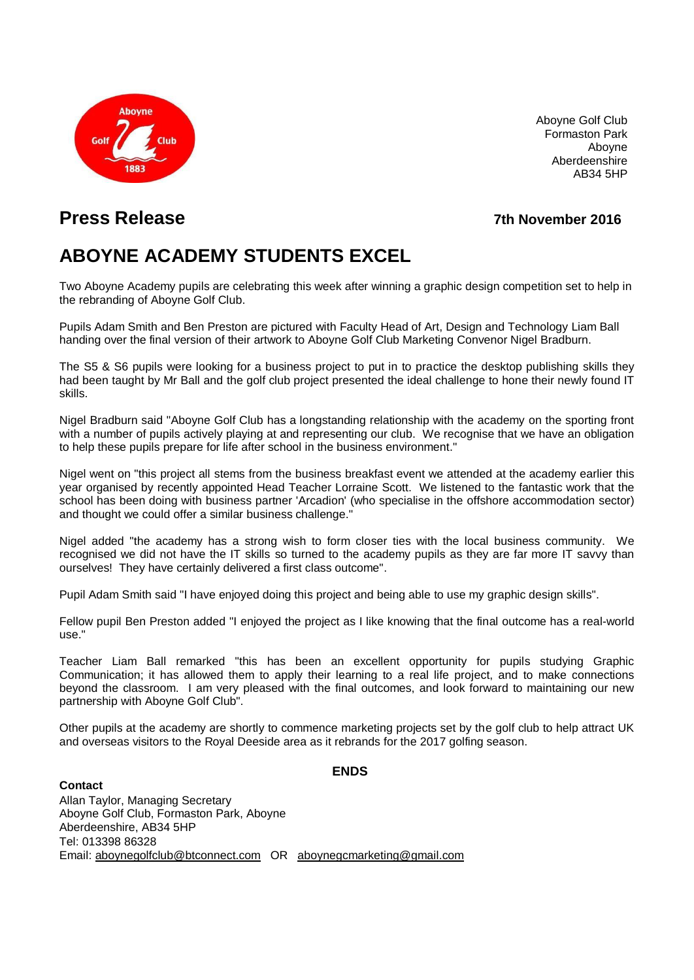

Aboyne Golf Club Formaston Park Aboyne Aberdeenshire AB34 5HP

## **Press Release 7th November 2016**

# **ABOYNE ACADEMY STUDENTS EXCEL**

Two Aboyne Academy pupils are celebrating this week after winning a graphic design competition set to help in the rebranding of Aboyne Golf Club.

Pupils Adam Smith and Ben Preston are pictured with Faculty Head of Art, Design and Technology Liam Ball handing over the final version of their artwork to Aboyne Golf Club Marketing Convenor Nigel Bradburn.

The S5 & S6 pupils were looking for a business project to put in to practice the desktop publishing skills they had been taught by Mr Ball and the golf club project presented the ideal challenge to hone their newly found IT skills.

Nigel Bradburn said "Aboyne Golf Club has a longstanding relationship with the academy on the sporting front with a number of pupils actively playing at and representing our club. We recognise that we have an obligation to help these pupils prepare for life after school in the business environment."

Nigel went on "this project all stems from the business breakfast event we attended at the academy earlier this year organised by recently appointed Head Teacher Lorraine Scott. We listened to the fantastic work that the school has been doing with business partner 'Arcadion' (who specialise in the offshore accommodation sector) and thought we could offer a similar business challenge."

Nigel added "the academy has a strong wish to form closer ties with the local business community. We recognised we did not have the IT skills so turned to the academy pupils as they are far more IT savvy than ourselves! They have certainly delivered a first class outcome".

Pupil Adam Smith said "I have enjoyed doing this project and being able to use my graphic design skills".

Fellow pupil Ben Preston added "I enjoyed the project as I like knowing that the final outcome has a real-world use."

Teacher Liam Ball remarked "this has been an excellent opportunity for pupils studying Graphic Communication; it has allowed them to apply their learning to a real life project, and to make connections beyond the classroom. I am very pleased with the final outcomes, and look forward to maintaining our new partnership with Aboyne Golf Club".

Other pupils at the academy are shortly to commence marketing projects set by the golf club to help attract UK and overseas visitors to the Royal Deeside area as it rebrands for the 2017 golfing season.

#### **ENDS**

**Contact** Allan Taylor, Managing Secretary Aboyne Golf Club, Formaston Park, Aboyne Aberdeenshire, AB34 5HP Tel: 013398 86328 Email: [aboynegolfclub@btconnect.com](mailto:aboynegolfclub@btconnect.com) OR [aboynegcmarketing@gmail.com](mailto:aboynegcmarketing@gmail.com)